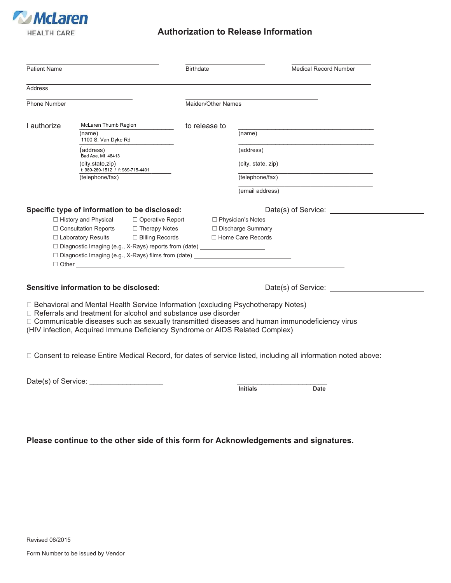

## **Authorization to Release Information**

| <b>Patient Name</b>                                 |                                                                                            |                                                                                  | <b>Birthdate</b>    |                     | <b>Medical Record Number</b> |
|-----------------------------------------------------|--------------------------------------------------------------------------------------------|----------------------------------------------------------------------------------|---------------------|---------------------|------------------------------|
| Address                                             |                                                                                            |                                                                                  |                     |                     |                              |
| Phone Number                                        |                                                                                            |                                                                                  | Maiden/Other Names  |                     |                              |
| I authorize                                         | McLaren Thumb Region                                                                       |                                                                                  | to release to       |                     |                              |
|                                                     | (name)<br>1100 S. Van Dyke Rd                                                              |                                                                                  |                     | (name)              |                              |
|                                                     | address)<br>Bad Axe, MI 48413                                                              |                                                                                  |                     | (address)           |                              |
|                                                     | (city, state, zip)<br>t: 989-269-1512 / f: 989-715-4401                                    |                                                                                  |                     | (city, state, zip)  |                              |
|                                                     | (telephone/fax)                                                                            |                                                                                  |                     | (telephone/fax)     |                              |
|                                                     |                                                                                            |                                                                                  |                     | (email address)     |                              |
|                                                     |                                                                                            | Specific type of information to be disclosed:                                    |                     |                     | Date(s) of Service:          |
| $\Box$ History and Physical $\Box$ Operative Report |                                                                                            |                                                                                  |                     | □ Physician's Notes |                              |
|                                                     | $\Box$ Consultation Reports $\Box$ Therapy Notes<br>□ Laboratory Results □ Billing Records |                                                                                  | □ Discharge Summary |                     |                              |
|                                                     |                                                                                            |                                                                                  |                     | □ Home Care Records |                              |
|                                                     |                                                                                            | □ Diagnostic Imaging (e.g., X-Rays) reports from (date) _______________________  |                     |                     |                              |
|                                                     |                                                                                            | □ Diagnostic Imaging (e.g., X-Rays) films from (date) __________________________ |                     |                     |                              |
|                                                     |                                                                                            | $\Box$ $\Box$ $\Box$                                                             |                     |                     |                              |

□ Behavioral and Mental Health Service Information (excluding Psychotherapy Notes)

□ Referrals and treatment for alcohol and substance use disorder

□ Communicable diseases such as sexually transmitted diseases and human immunodeficiency virus

(HIV infection, Acquired Immune Deficiency Syndrome or AIDS Related Complex)

Consent to release Entire Medical Record, for dates of service listed, including all information noted above:

Date(s) of Service: \_\_\_\_\_\_\_\_\_\_\_\_\_\_\_\_\_\_ \_\_\_\_\_\_\_\_\_\_\_\_\_\_\_\_\_\_\_\_\_\_

|  | سا کې د دا<br>. |  |
|--|-----------------|--|

**Please continue to the other side of this form for Acknowledgements and signatures.**